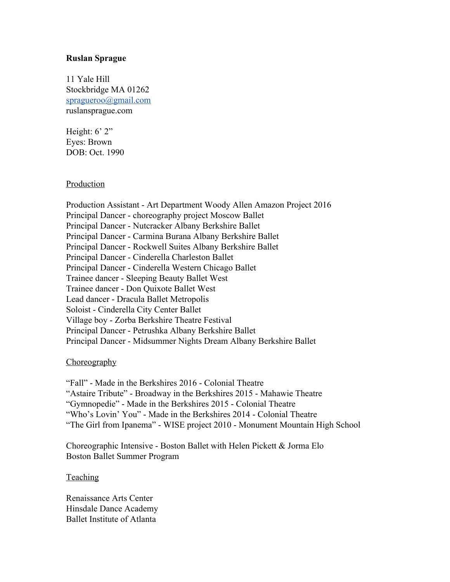## **Ruslan Sprague**

11 Yale Hill Stockbridge MA 01262 [spragueroo@gmail.com](mailto:spragueroo@gmail.com) ruslansprague.com

Height:  $6'$  2" Eyes: Brown DOB: Oct. 1990

## Production

Production Assistant - Art Department Woody Allen Amazon Project 2016 Principal Dancer - choreography project Moscow Ballet Principal Dancer - Nutcracker Albany Berkshire Ballet Principal Dancer - Carmina Burana Albany Berkshire Ballet Principal Dancer - Rockwell Suites Albany Berkshire Ballet Principal Dancer - Cinderella Charleston Ballet Principal Dancer - Cinderella Western Chicago Ballet Trainee dancer - Sleeping Beauty Ballet West Trainee dancer - Don Quixote Ballet West Lead dancer - Dracula Ballet Metropolis Soloist - Cinderella City Center Ballet Village boy - Zorba Berkshire Theatre Festival Principal Dancer - Petrushka Albany Berkshire Ballet Principal Dancer - Midsummer Nights Dream Albany Berkshire Ballet

## Choreography

"Fall" - Made in the Berkshires 2016 - Colonial Theatre "Astaire Tribute" - Broadway in the Berkshires 2015 - Mahawie Theatre "Gymnopedie" - Made in the Berkshires 2015 - Colonial Theatre "Who's Lovin' You" - Made in the Berkshires 2014 - Colonial Theatre "The Girl from Ipanema" - WISE project 2010 - Monument Mountain High School

Choreographic Intensive - Boston Ballet with Helen Pickett & Jorma Elo Boston Ballet Summer Program

## **Teaching**

Renaissance Arts Center Hinsdale Dance Academy Ballet Institute of Atlanta